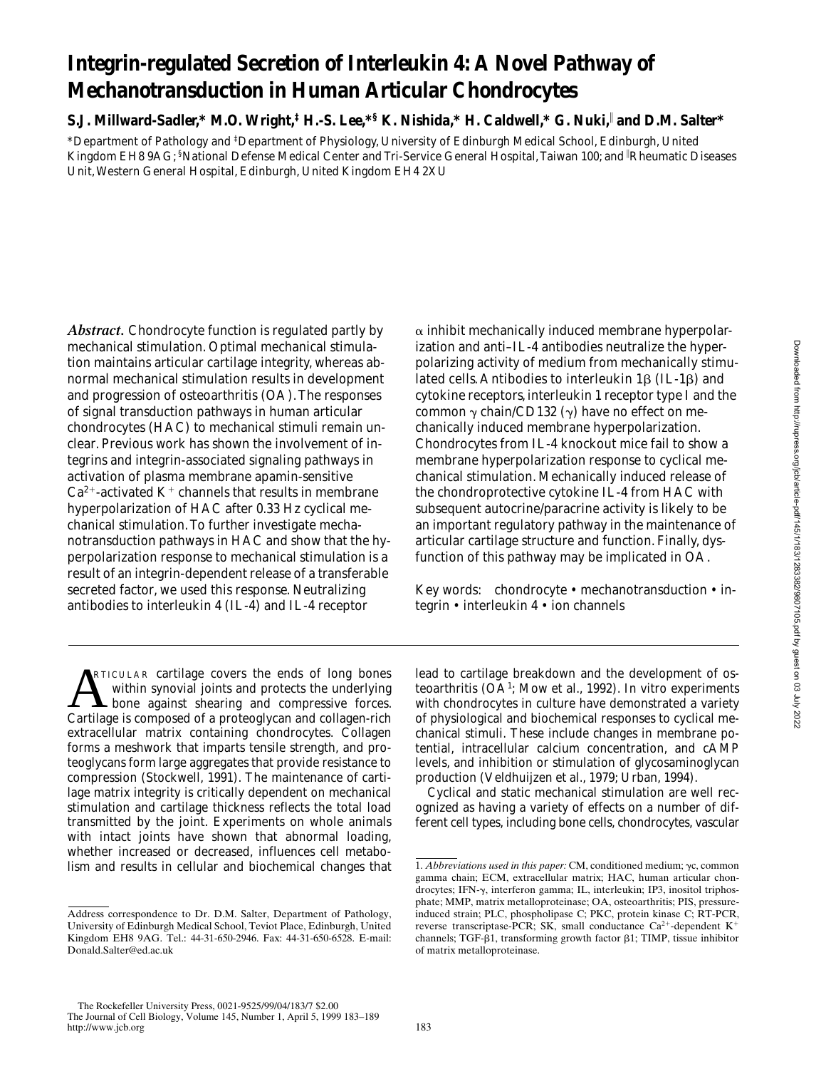# **Integrin-regulated Secretion of Interleukin 4: A Novel Pathway of Mechanotransduction in Human Articular Chondrocytes**

**S.J. Millward-Sadler,\* M.O. Wright,‡ H.-S. Lee,\*§ K. Nishida,\* H. Caldwell,\* G. Nuki,**<sup>i</sup>  **and D.M. Salter\***

\*Department of Pathology and ‡ Department of Physiology, University of Edinburgh Medical School, Edinburgh, United Kingdom EH8 9AG; <sup>s</sup>National Defense Medical Center and Tri-Service General Hospital, Taiwan 100; and <sup>|</sup>Rheumatic Diseases Unit, Western General Hospital, Edinburgh, United Kingdom EH4 2XU

*Abstract.* Chondrocyte function is regulated partly by mechanical stimulation. Optimal mechanical stimulation maintains articular cartilage integrity, whereas abnormal mechanical stimulation results in development and progression of osteoarthritis (OA). The responses of signal transduction pathways in human articular chondrocytes (HAC) to mechanical stimuli remain unclear. Previous work has shown the involvement of integrins and integrin-associated signaling pathways in activation of plasma membrane apamin-sensitive  $Ca^{2+}$ -activated K<sup>+</sup> channels that results in membrane hyperpolarization of HAC after 0.33 Hz cyclical mechanical stimulation. To further investigate mechanotransduction pathways in HAC and show that the hyperpolarization response to mechanical stimulation is a result of an integrin-dependent release of a transferable secreted factor, we used this response. Neutralizing antibodies to interleukin 4 (IL-4) and IL-4 receptor

 $\alpha$  inhibit mechanically induced membrane hyperpolarization and anti–IL-4 antibodies neutralize the hyperpolarizing activity of medium from mechanically stimulated cells. Antibodies to interleukin  $1\beta$  (IL-1 $\beta$ ) and cytokine receptors, interleukin 1 receptor type I and the common  $\gamma$  chain/CD132 ( $\gamma$ ) have no effect on mechanically induced membrane hyperpolarization. Chondrocytes from IL-4 knockout mice fail to show a membrane hyperpolarization response to cyclical mechanical stimulation. Mechanically induced release of the chondroprotective cytokine IL-4 from HAC with subsequent autocrine/paracrine activity is likely to be an important regulatory pathway in the maintenance of articular cartilage structure and function. Finally, dysfunction of this pathway may be implicated in OA.

Key words: chondrocyte • mechanotransduction • integrin • interleukin 4 • ion channels

**ARTICULAR cartilage covers the ends of long bones** within synovial joints and protects the underlying bone against shearing and compressive forces.<br>Cartilage is composed of a proteoglycan and collagen-rich RTICULAR cartilage covers the ends of long bones within synovial joints and protects the underlying **L** bone against shearing and compressive forces. extracellular matrix containing chondrocytes. Collagen forms a meshwork that imparts tensile strength, and proteoglycans form large aggregates that provide resistance to compression (Stockwell, 1991). The maintenance of cartilage matrix integrity is critically dependent on mechanical stimulation and cartilage thickness reflects the total load transmitted by the joint. Experiments on whole animals with intact joints have shown that abnormal loading, whether increased or decreased, influences cell metabolism and results in cellular and biochemical changes that

lead to cartilage breakdown and the development of osteoarthritis (OA<sup>1</sup>; Mow et al., 1992). In vitro experiments with chondrocytes in culture have demonstrated a variety of physiological and biochemical responses to cyclical mechanical stimuli. These include changes in membrane potential, intracellular calcium concentration, and cAMP levels, and inhibition or stimulation of glycosaminoglycan production (Veldhuijzen et al., 1979; Urban, 1994).

Cyclical and static mechanical stimulation are well recognized as having a variety of effects on a number of different cell types, including bone cells, chondrocytes, vascular

Address correspondence to Dr. D.M. Salter, Department of Pathology, University of Edinburgh Medical School, Teviot Place, Edinburgh, United Kingdom EH8 9AG. Tel.: 44-31-650-2946. Fax: 44-31-650-6528. E-mail: Donald.Salter@ed.ac.uk

<sup>1.</sup> *Abbreviations used in this paper:* CM, conditioned medium;  $\gamma c$ , common gamma chain; ECM, extracellular matrix; HAC, human articular chondrocytes; IFN- $\gamma$ , interferon gamma; IL, interleukin; IP3, inositol triphosphate; MMP, matrix metalloproteinase; OA, osteoarthritis; PIS, pressureinduced strain; PLC, phospholipase C; PKC, protein kinase C; RT-PCR, reverse transcriptase-PCR; SK, small conductance  $Ca^{2+}$ -dependent K<sup>+</sup> channels; TGF- $\beta$ 1, transforming growth factor  $\beta$ 1; TIMP, tissue inhibitor of matrix metalloproteinase.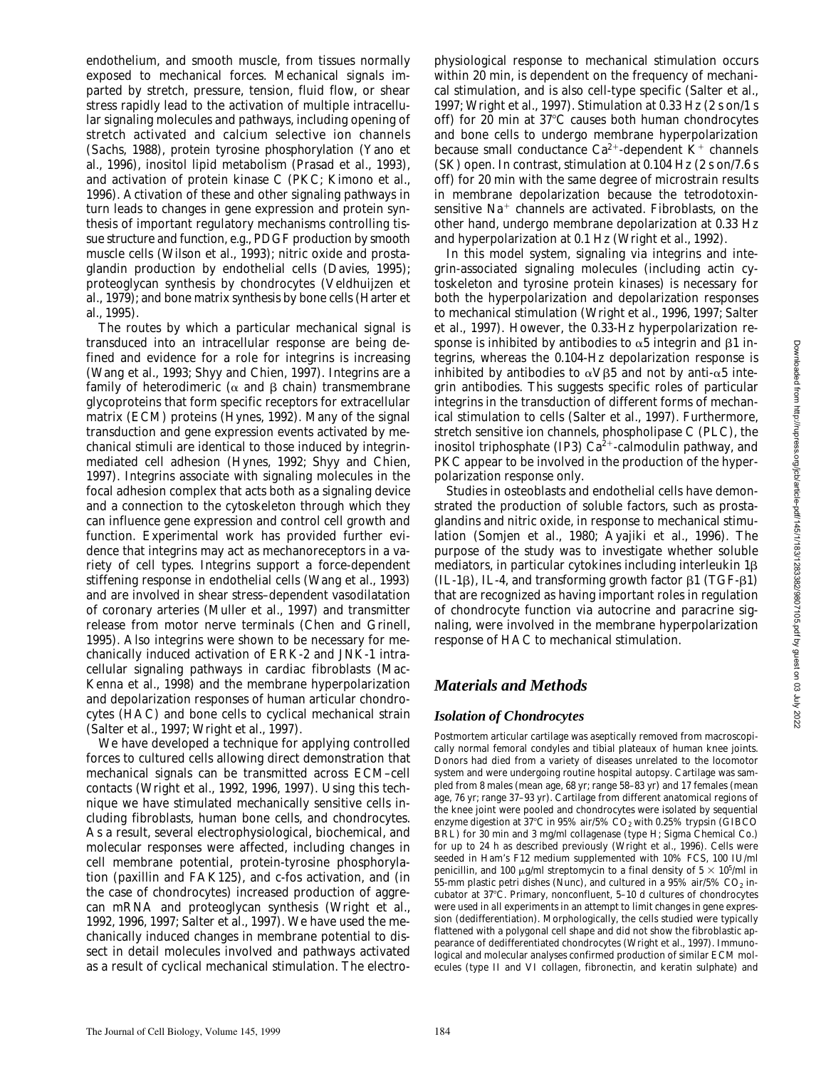endothelium, and smooth muscle, from tissues normally exposed to mechanical forces. Mechanical signals imparted by stretch, pressure, tension, fluid flow, or shear stress rapidly lead to the activation of multiple intracellular signaling molecules and pathways, including opening of stretch activated and calcium selective ion channels (Sachs, 1988), protein tyrosine phosphorylation (Yano et al., 1996), inositol lipid metabolism (Prasad et al., 1993), and activation of protein kinase C (PKC; Kimono et al., 1996). Activation of these and other signaling pathways in turn leads to changes in gene expression and protein synthesis of important regulatory mechanisms controlling tissue structure and function, e.g., PDGF production by smooth muscle cells (Wilson et al., 1993); nitric oxide and prostaglandin production by endothelial cells (Davies, 1995); proteoglycan synthesis by chondrocytes (Veldhuijzen et al., 1979); and bone matrix synthesis by bone cells (Harter et al., 1995).

The routes by which a particular mechanical signal is transduced into an intracellular response are being defined and evidence for a role for integrins is increasing (Wang et al., 1993; Shyy and Chien, 1997). Integrins are a family of heterodimeric ( $\alpha$  and  $\beta$  chain) transmembrane glycoproteins that form specific receptors for extracellular matrix (ECM) proteins (Hynes, 1992). Many of the signal transduction and gene expression events activated by mechanical stimuli are identical to those induced by integrinmediated cell adhesion (Hynes, 1992; Shyy and Chien, 1997). Integrins associate with signaling molecules in the focal adhesion complex that acts both as a signaling device and a connection to the cytoskeleton through which they can influence gene expression and control cell growth and function. Experimental work has provided further evidence that integrins may act as mechanoreceptors in a variety of cell types. Integrins support a force-dependent stiffening response in endothelial cells (Wang et al., 1993) and are involved in shear stress–dependent vasodilatation of coronary arteries (Muller et al., 1997) and transmitter release from motor nerve terminals (Chen and Grinell, 1995). Also integrins were shown to be necessary for mechanically induced activation of ERK-2 and JNK-1 intracellular signaling pathways in cardiac fibroblasts (Mac-Kenna et al., 1998) and the membrane hyperpolarization and depolarization responses of human articular chondrocytes (HAC) and bone cells to cyclical mechanical strain (Salter et al., 1997; Wright et al., 1997).

We have developed a technique for applying controlled forces to cultured cells allowing direct demonstration that mechanical signals can be transmitted across ECM–cell contacts (Wright et al., 1992, 1996, 1997). Using this technique we have stimulated mechanically sensitive cells including fibroblasts, human bone cells, and chondrocytes. As a result, several electrophysiological, biochemical, and molecular responses were affected, including changes in cell membrane potential, protein-tyrosine phosphorylation (paxillin and FAK125), and c-fos activation, and (in the case of chondrocytes) increased production of aggrecan mRNA and proteoglycan synthesis (Wright et al., 1992, 1996, 1997; Salter et al., 1997). We have used the mechanically induced changes in membrane potential to dissect in detail molecules involved and pathways activated as a result of cyclical mechanical stimulation. The electrophysiological response to mechanical stimulation occurs within 20 min, is dependent on the frequency of mechanical stimulation, and is also cell-type specific (Salter et al., 1997; Wright et al., 1997). Stimulation at 0.33 Hz (2 s on/1 s off) for 20 min at  $37^{\circ}$ C causes both human chondrocytes and bone cells to undergo membrane hyperpolarization because small conductance  $Ca^{2+}$ -dependent  $K^+$  channels (SK) open. In contrast, stimulation at 0.104 Hz (2 s on/7.6 s off) for 20 min with the same degree of microstrain results in membrane depolarization because the tetrodotoxinsensitive  $Na<sup>+</sup>$  channels are activated. Fibroblasts, on the other hand, undergo membrane depolarization at 0.33 Hz and hyperpolarization at 0.1 Hz (Wright et al., 1992).

In this model system, signaling via integrins and integrin-associated signaling molecules (including actin cytoskeleton and tyrosine protein kinases) is necessary for both the hyperpolarization and depolarization responses to mechanical stimulation (Wright et al., 1996, 1997; Salter et al., 1997). However, the 0.33-Hz hyperpolarization response is inhibited by antibodies to  $\alpha$ 5 integrin and  $\beta$ 1 integrins, whereas the 0.104-Hz depolarization response is inhibited by antibodies to  $\alpha V\beta5$  and not by anti- $\alpha5$  integrin antibodies. This suggests specific roles of particular integrins in the transduction of different forms of mechanical stimulation to cells (Salter et al., 1997). Furthermore, stretch sensitive ion channels, phospholipase C (PLC), the inositol triphosphate (IP3)  $Ca<sup>2+</sup>$ -calmodulin pathway, and PKC appear to be involved in the production of the hyperpolarization response only.

Studies in osteoblasts and endothelial cells have demonstrated the production of soluble factors, such as prostaglandins and nitric oxide, in response to mechanical stimulation (Somjen et al., 1980; Ayajiki et al., 1996). The purpose of the study was to investigate whether soluble mediators, in particular cytokines including interleukin  $1\beta$  $(IL-1\beta)$ , IL-4, and transforming growth factor  $\beta$ 1 (TGF- $\beta$ 1) that are recognized as having important roles in regulation of chondrocyte function via autocrine and paracrine signaling, were involved in the membrane hyperpolarization response of HAC to mechanical stimulation.

# *Materials and Methods*

#### *Isolation of Chondrocytes*

Postmortem articular cartilage was aseptically removed from macroscopically normal femoral condyles and tibial plateaux of human knee joints. Donors had died from a variety of diseases unrelated to the locomotor system and were undergoing routine hospital autopsy. Cartilage was sampled from 8 males (mean age, 68 yr; range 58–83 yr) and 17 females (mean age, 76 yr; range 37–93 yr). Cartilage from different anatomical regions of the knee joint were pooled and chondrocytes were isolated by sequential enzyme digestion at 37°C in 95% air/5%  $CO<sub>2</sub>$  with 0.25% trypsin (GIBCO BRL) for 30 min and 3 mg/ml collagenase (type H; Sigma Chemical Co.) for up to 24 h as described previously (Wright et al., 1996). Cells were seeded in Ham's F12 medium supplemented with 10% FCS, 100 IU/ml penicillin, and 100  $\mu$ g/ml streptomycin to a final density of  $5 \times 10^{5}$ /ml in 55-mm plastic petri dishes (Nunc), and cultured in a  $95\%$  air/ $5\%$  CO<sub>2</sub> incubator at 37°C. Primary, nonconfluent, 5-10 d cultures of chondrocytes were used in all experiments in an attempt to limit changes in gene expression (dedifferentiation). Morphologically, the cells studied were typically flattened with a polygonal cell shape and did not show the fibroblastic appearance of dedifferentiated chondrocytes (Wright et al., 1997). Immunological and molecular analyses confirmed production of similar ECM molecules (type II and VI collagen, fibronectin, and keratin sulphate) and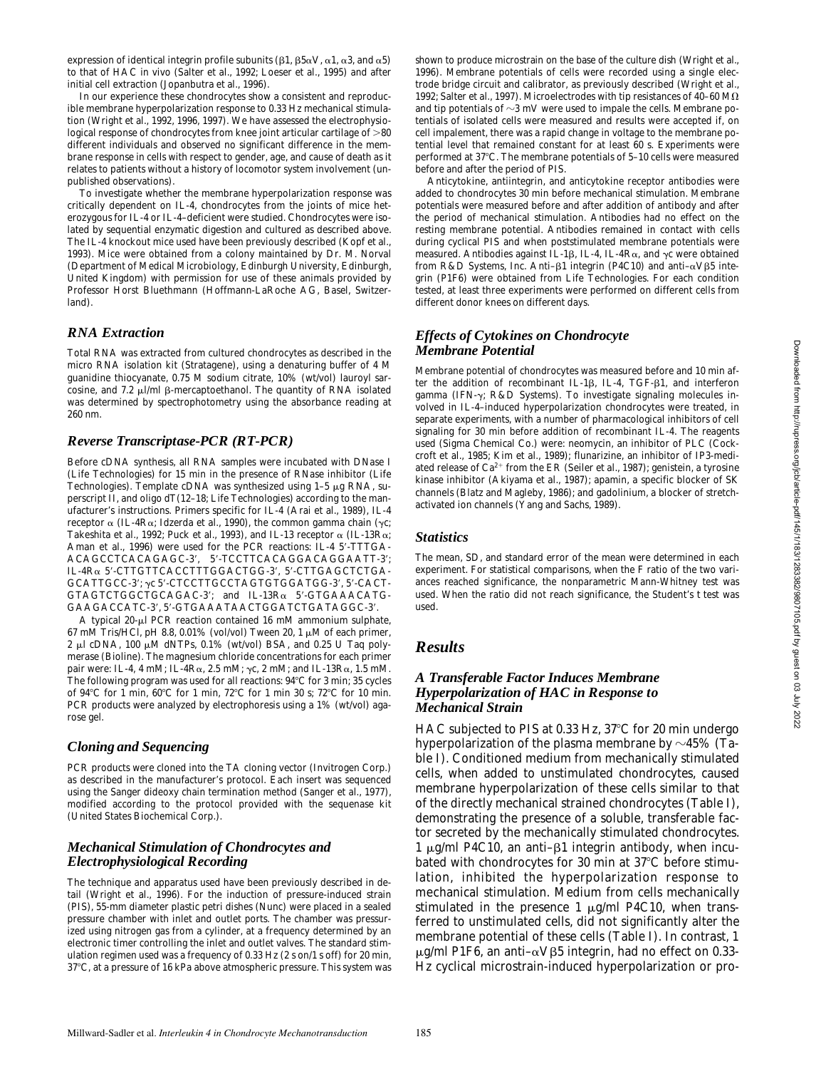expression of identical integrin profile subunits ( $\beta$ 1,  $\beta$ 5 $\alpha$ V,  $\alpha$ 1,  $\alpha$ 3, and  $\alpha$ 5) to that of HAC in vivo (Salter et al., 1992; Loeser et al., 1995) and after initial cell extraction (Jopanbutra et al., 1996).

In our experience these chondrocytes show a consistent and reproducible membrane hyperpolarization response to 0.33 Hz mechanical stimulation (Wright et al., 1992, 1996, 1997). We have assessed the electrophysiological response of chondrocytes from knee joint articular cartilage of  $\mathord{>}80$ different individuals and observed no significant difference in the membrane response in cells with respect to gender, age, and cause of death as it relates to patients without a history of locomotor system involvement (unpublished observations).

To investigate whether the membrane hyperpolarization response was critically dependent on IL-4, chondrocytes from the joints of mice heterozygous for IL-4 or IL-4–deficient were studied. Chondrocytes were isolated by sequential enzymatic digestion and cultured as described above. The IL-4 knockout mice used have been previously described (Kopf et al., 1993). Mice were obtained from a colony maintained by Dr. M. Norval (Department of Medical Microbiology, Edinburgh University, Edinburgh, United Kingdom) with permission for use of these animals provided by Professor Horst Bluethmann (Hoffmann-LaRoche AG, Basel, Switzerland).

#### *RNA Extraction*

Total RNA was extracted from cultured chondrocytes as described in the micro RNA isolation kit (Stratagene), using a denaturing buffer of 4 M guanidine thiocyanate, 0.75 M sodium citrate, 10% (wt/vol) lauroyl sarcosine, and 7.2  $\mu$ I/ml  $\beta$ -mercaptoethanol. The quantity of RNA isolated was determined by spectrophotometry using the absorbance reading at 260 nm.

#### *Reverse Transcriptase-PCR (RT-PCR)*

Before cDNA synthesis, all RNA samples were incubated with DNase I (Life Technologies) for 15 min in the presence of RNase inhibitor (Life Technologies). Template cDNA was synthesized using  $1-5 \mu g$  RNA, superscript II, and oligo dT(12–18; Life Technologies) according to the manufacturer's instructions. Primers specific for IL-4 (Arai et al., 1989), IL-4 receptor  $\alpha$  (IL-4R $\alpha$ ; Idzerda et al., 1990), the common gamma chain ( $\gamma$ c; Takeshita et al., 1992; Puck et al., 1993), and IL-13 receptor  $\alpha$  (IL-13R $\alpha$ ; Aman et al., 1996) were used for the PCR reactions: IL-4 5'-TTTGA-ACAGCCTCACAGAGC-3', 5'-TCCTTCACAGGACAGGAATT-3'; IL-4Rα 5'-CTTGTTCACCTTTGGACTGG-3', 5'-CTTGAGCTCTGA-GCATTGCC-3';  $\gamma c$  5'-CTCCTTGCCTAGTGTGGATGG-3', 5'-CACT- $GTAGTCTGGCTGCAGAC-3'$ ; and  $IL-13R<sub>α</sub>$  5'-GTGAAACATG-GAAGACCATC-3', 5'-GTGAAATAACTGGATCTGATAGGC-3'.

A typical 20-µl PCR reaction contained 16 mM ammonium sulphate, 67 mM Tris/HCl, pH 8.8, 0.01% (vol/vol) Tween 20, 1  $\mu$ M of each primer, 2 ml cDNA, 100 mM dNTPs, 0.1% (wt/vol) BSA, and 0.25 U *Taq* polymerase (Bioline). The magnesium chloride concentrations for each primer pair were: IL-4, 4 mM; IL-4R $\alpha$ , 2.5 mM;  $\gamma c$ , 2 mM; and IL-13R $\alpha$ , 1.5 mM. The following program was used for all reactions:  $94^{\circ}$ C for 3 min; 35 cycles of 94 $\degree$ C for 1 min, 60 $\degree$ C for 1 min, 72 $\degree$ C for 1 min 30 s; 72 $\degree$ C for 10 min. PCR products were analyzed by electrophoresis using a 1% (wt/vol) agarose gel.

#### *Cloning and Sequencing*

PCR products were cloned into the TA cloning vector (Invitrogen Corp.) as described in the manufacturer's protocol. Each insert was sequenced using the Sanger dideoxy chain termination method (Sanger et al., 1977), modified according to the protocol provided with the sequenase kit (United States Biochemical Corp.).

## *Mechanical Stimulation of Chondrocytes and Electrophysiological Recording*

The technique and apparatus used have been previously described in detail (Wright et al., 1996). For the induction of pressure-induced strain (PIS), 55-mm diameter plastic petri dishes (Nunc) were placed in a sealed pressure chamber with inlet and outlet ports. The chamber was pressurized using nitrogen gas from a cylinder, at a frequency determined by an electronic timer controlling the inlet and outlet valves. The standard stimulation regimen used was a frequency of 0.33 Hz (2 s on/1 s off) for 20 min, 37°C, at a pressure of 16 kPa above atmospheric pressure. This system was shown to produce microstrain on the base of the culture dish (Wright et al., 1996). Membrane potentials of cells were recorded using a single electrode bridge circuit and calibrator, as previously described (Wright et al., 1992; Salter et al., 1997). Microelectrodes with tip resistances of 40-60 M $\Omega$ and tip potentials of  $\sim$ 3 mV were used to impale the cells. Membrane potentials of isolated cells were measured and results were accepted if, on cell impalement, there was a rapid change in voltage to the membrane potential level that remained constant for at least 60 s. Experiments were performed at 37°C. The membrane potentials of 5-10 cells were measured before and after the period of PIS.

Anticytokine, antiintegrin, and anticytokine receptor antibodies were added to chondrocytes 30 min before mechanical stimulation. Membrane potentials were measured before and after addition of antibody and after the period of mechanical stimulation. Antibodies had no effect on the resting membrane potential. Antibodies remained in contact with cells during cyclical PIS and when poststimulated membrane potentials were measured. Antibodies against IL-1 $\beta$ , IL-4, IL-4 $R\alpha$ , and  $\gamma c$  were obtained from R&D Systems, Inc. Anti- $\beta$ 1 integrin (P4C10) and anti- $\alpha$ V $\beta$ 5 integrin (P1F6) were obtained from Life Technologies. For each condition tested, at least three experiments were performed on different cells from different donor knees on different days.

#### *Effects of Cytokines on Chondrocyte Membrane Potential*

Membrane potential of chondrocytes was measured before and 10 min after the addition of recombinant IL-1 $\beta$ , IL-4, TGF- $\beta$ 1, and interferon gamma (IFN-y; R&D Systems). To investigate signaling molecules involved in IL-4–induced hyperpolarization chondrocytes were treated, in separate experiments, with a number of pharmacological inhibitors of cell signaling for 30 min before addition of recombinant IL-4. The reagents used (Sigma Chemical Co.) were: neomycin, an inhibitor of PLC (Cockcroft et al., 1985; Kim et al., 1989); flunarizine, an inhibitor of IP3-mediated release of  $Ca^{2+}$  from the ER (Seiler et al., 1987); genistein, a tyrosine kinase inhibitor (Akiyama et al., 1987); apamin, a specific blocker of SK channels (Blatz and Magleby, 1986); and gadolinium, a blocker of stretchactivated ion channels (Yang and Sachs, 1989).

#### *Statistics*

The mean, SD, and standard error of the mean were determined in each experiment. For statistical comparisons, when the F ratio of the two variances reached significance, the nonparametric Mann-Whitney test was used. When the ratio did not reach significance, the Student's *t* test was used.

#### *Results*

#### *A Transferable Factor Induces Membrane Hyperpolarization of HAC in Response to Mechanical Strain*

HAC subjected to PIS at 0.33 Hz, 37°C for 20 min undergo hyperpolarization of the plasma membrane by  $\sim$ 45% (Table I). Conditioned medium from mechanically stimulated cells, when added to unstimulated chondrocytes, caused membrane hyperpolarization of these cells similar to that of the directly mechanical strained chondrocytes (Table I), demonstrating the presence of a soluble, transferable factor secreted by the mechanically stimulated chondrocytes. 1  $\mu$ g/ml P4C10, an anti– $\beta$ 1 integrin antibody, when incubated with chondrocytes for 30 min at 37°C before stimulation, inhibited the hyperpolarization response to mechanical stimulation. Medium from cells mechanically stimulated in the presence 1  $\mu$ g/ml P4C10, when transferred to unstimulated cells, did not significantly alter the membrane potential of these cells (Table I). In contrast, 1  $\mu$ g/ml P1F6, an anti– $\alpha$ V $\beta$ 5 integrin, had no effect on 0.33-Hz cyclical microstrain-induced hyperpolarization or pro-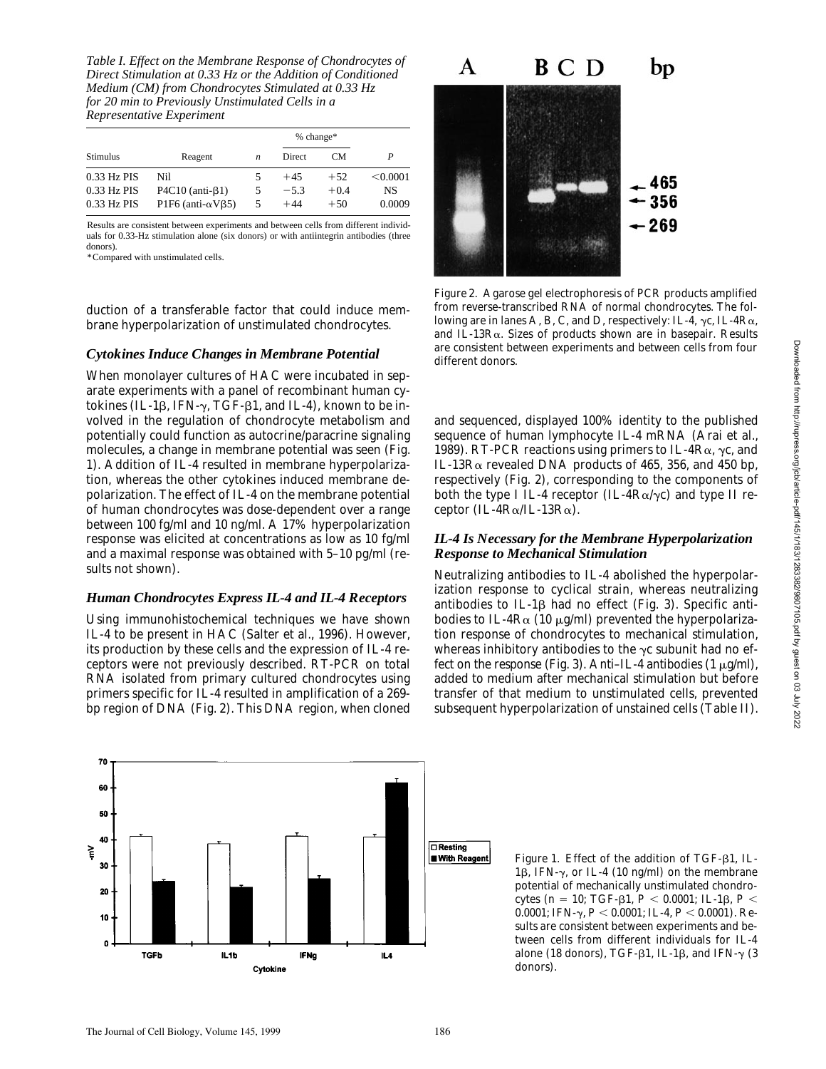*Table I. Effect on the Membrane Response of Chondrocytes of Direct Stimulation at 0.33 Hz or the Addition of Conditioned Medium (CM) from Chondrocytes Stimulated at 0.33 Hz for 20 min to Previously Unstimulated Cells in a Representative Experiment*

|             | Reagent                           | n | % change* |        |          |
|-------------|-----------------------------------|---|-----------|--------|----------|
| Stimulus    |                                   |   | Direct    | CМ     | P        |
| 0.33 Hz PIS | Nil                               |   | $+45$     | $+52$  | < 0.0001 |
| 0.33 Hz PIS | $P4C10$ (anti- $\beta$ 1)         |   | $-5.3$    | $+0.4$ | NS       |
| 0.33 Hz PIS | P1F6 (anti- $\alpha$ V $\beta$ 5) |   | $+44$     | $+50$  | 0.0009   |

Results are consistent between experiments and between cells from different individuals for 0.33-Hz stimulation alone (six donors) or with antiintegrin antibodies (three donors).

\*Compared with unstimulated cells.

duction of a transferable factor that could induce membrane hyperpolarization of unstimulated chondrocytes.

## *Cytokines Induce Changes in Membrane Potential*

When monolayer cultures of HAC were incubated in separate experiments with a panel of recombinant human cytokines (IL-1 $\beta$ , IFN- $\gamma$ , TGF- $\beta$ 1, and IL-4), known to be involved in the regulation of chondrocyte metabolism and potentially could function as autocrine/paracrine signaling molecules, a change in membrane potential was seen (Fig. 1). Addition of IL-4 resulted in membrane hyperpolarization, whereas the other cytokines induced membrane depolarization. The effect of IL-4 on the membrane potential of human chondrocytes was dose-dependent over a range between 100 fg/ml and 10 ng/ml. A 17% hyperpolarization response was elicited at concentrations as low as 10 fg/ml and a maximal response was obtained with 5–10 pg/ml (results not shown).

## *Human Chondrocytes Express IL-4 and IL-4 Receptors*

Using immunohistochemical techniques we have shown IL-4 to be present in HAC (Salter et al., 1996). However, its production by these cells and the expression of IL-4 receptors were not previously described. RT-PCR on total RNA isolated from primary cultured chondrocytes using primers specific for IL-4 resulted in amplification of a 269 bp region of DNA (Fig. 2). This DNA region, when cloned





*Figure 2.* Agarose gel electrophoresis of PCR products amplified from reverse-transcribed RNA of normal chondrocytes. The following are in lanes A, B, C, and D, respectively: IL-4,  $\gamma c$ , IL-4R $\alpha$ , and IL-13Ra. Sizes of products shown are in basepair. Results are consistent between experiments and between cells from four different donors.

and sequenced, displayed 100% identity to the published sequence of human lymphocyte IL-4 mRNA (Arai et al., 1989). RT-PCR reactions using primers to IL-4R $\alpha$ ,  $\gamma$ c, and IL-13R $\alpha$  revealed DNA products of 465, 356, and 450 bp, respectively (Fig. 2), corresponding to the components of both the type I IL-4 receptor (IL-4R $\alpha/\gamma c$ ) and type II receptor (IL-4 $R\alpha$ /IL-13 $R\alpha$ ).

## *IL-4 Is Necessary for the Membrane Hyperpolarization Response to Mechanical Stimulation*

Neutralizing antibodies to IL-4 abolished the hyperpolarization response to cyclical strain, whereas neutralizing antibodies to IL-1 $\beta$  had no effect (Fig. 3). Specific antibodies to IL-4 $R\alpha$  (10  $\mu$ g/ml) prevented the hyperpolarization response of chondrocytes to mechanical stimulation, whereas inhibitory antibodies to the  $\gamma c$  subunit had no effect on the response (Fig. 3). Anti–IL-4 antibodies  $(1 \mu g/ml)$ , added to medium after mechanical stimulation but before transfer of that medium to unstimulated cells, prevented subsequent hyperpolarization of unstained cells (Table II).

> *Figure 1.* Effect of the addition of TGF- $\beta$ 1, IL-1 $\beta$ , IFN- $\gamma$ , or IL-4 (10 ng/ml) on the membrane potential of mechanically unstimulated chondrocytes ( $n = 10$ ; TGF- $\beta$ 1,  $P < 0.0001$ ; IL-1 $\beta$ ,  $P <$ 0.0001; IFN-γ,  $P < 0.0001$ ; IL-4,  $P < 0.0001$ ). Results are consistent between experiments and between cells from different individuals for IL-4 alone (18 donors), TGF- $\beta$ 1, IL-1 $\beta$ , and IFN- $\gamma$  (3 donors).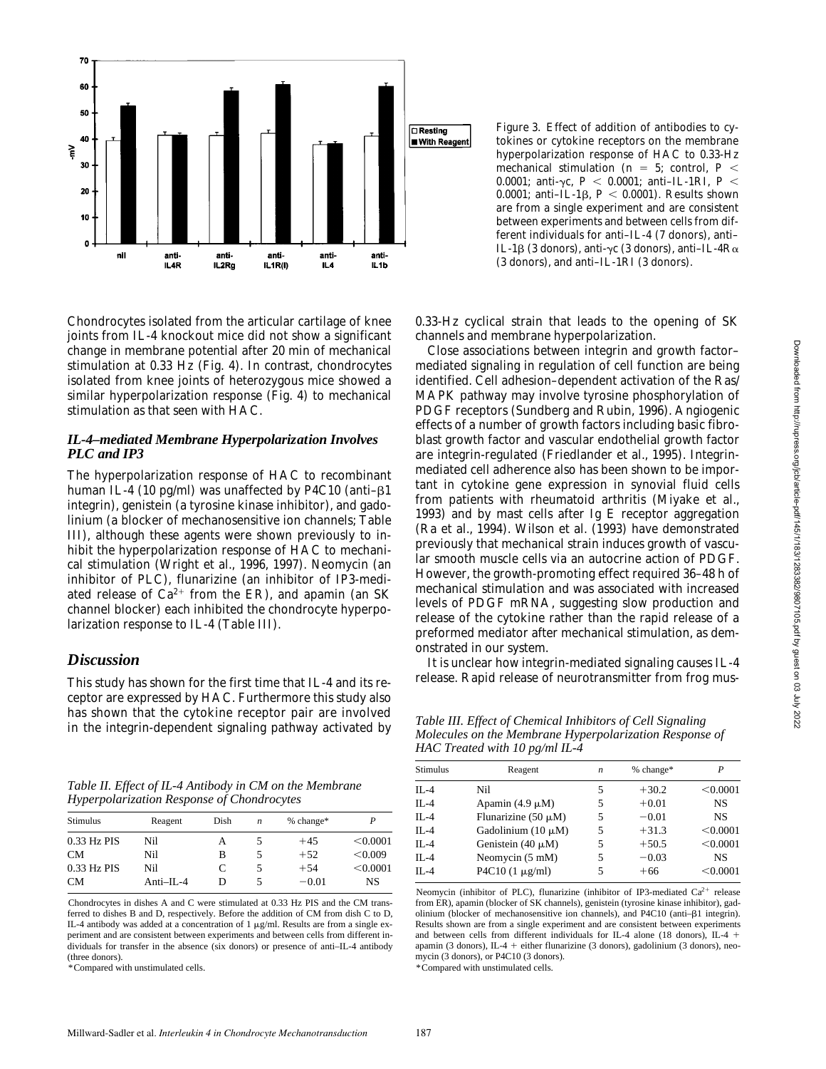

Chondrocytes isolated from the articular cartilage of knee joints from IL-4 knockout mice did not show a significant change in membrane potential after 20 min of mechanical stimulation at 0.33 Hz (Fig. 4). In contrast, chondrocytes isolated from knee joints of heterozygous mice showed a similar hyperpolarization response (Fig. 4) to mechanical stimulation as that seen with HAC.

#### *IL-4–mediated Membrane Hyperpolarization Involves PLC and IP3*

The hyperpolarization response of HAC to recombinant human IL-4 (10 pg/ml) was unaffected by P4C10 (anti- $\beta$ 1 integrin), genistein (a tyrosine kinase inhibitor), and gadolinium (a blocker of mechanosensitive ion channels; Table III), although these agents were shown previously to inhibit the hyperpolarization response of HAC to mechanical stimulation (Wright et al., 1996, 1997). Neomycin (an inhibitor of PLC), flunarizine (an inhibitor of IP3-mediated release of  $Ca^{2+}$  from the ER), and apamin (an SK channel blocker) each inhibited the chondrocyte hyperpolarization response to IL-4 (Table III).

# *Discussion*

This study has shown for the first time that IL-4 and its receptor are expressed by HAC. Furthermore this study also has shown that the cytokine receptor pair are involved in the integrin-dependent signaling pathway activated by

*Table II. Effect of IL-4 Antibody in CM on the Membrane Hyperpolarization Response of Chondrocytes*

| <b>Stimulus</b> | Reagent       | Dish | $\boldsymbol{n}$ | % change* |          |
|-----------------|---------------|------|------------------|-----------|----------|
| 0.33 Hz PIS     | Nil           | А    |                  | $+45$     | < 0.0001 |
| CM.             | Nil           | в    |                  | $+52$     | < 0.009  |
| 0.33 Hz PIS     | Nil           | C    | 5                | $+54$     | < 0.0001 |
| <b>CM</b>       | $Anti-II. -4$ | D    |                  | $-0.01$   | NS       |
|                 |               |      |                  |           |          |

Chondrocytes in dishes A and C were stimulated at 0.33 Hz PIS and the CM transferred to dishes B and D, respectively. Before the addition of CM from dish C to D, IL-4 antibody was added at a concentration of  $1 \mu g/ml$ . Results are from a single experiment and are consistent between experiments and between cells from different individuals for transfer in the absence (six donors) or presence of anti–IL-4 antibody (three donors).

\*Compared with unstimulated cells.

*Figure 3.* Effect of addition of antibodies to cytokines or cytokine receptors on the membrane hyperpolarization response of HAC to 0.33-Hz mechanical stimulation ( $n = 5$ ; control,  $P <$ 0.0001; anti-yc,  $P < 0.0001$ ; anti-IL-1RI,  $P <$ 0.0001; anti-IL-1 $\beta$ ,  $P < 0.0001$ ). Results shown are from a single experiment and are consistent between experiments and between cells from different individuals for anti–IL-4 (7 donors), anti– IL-1 $\beta$  (3 donors), anti- $\gamma c$  (3 donors), anti-IL-4 $R\alpha$ (3 donors), and anti–IL-1RI (3 donors).

0.33-Hz cyclical strain that leads to the opening of SK channels and membrane hyperpolarization.

Close associations between integrin and growth factor– mediated signaling in regulation of cell function are being identified. Cell adhesion–dependent activation of the Ras/ MAPK pathway may involve tyrosine phosphorylation of PDGF receptors (Sundberg and Rubin, 1996). Angiogenic effects of a number of growth factors including basic fibroblast growth factor and vascular endothelial growth factor are integrin-regulated (Friedlander et al., 1995). Integrinmediated cell adherence also has been shown to be important in cytokine gene expression in synovial fluid cells from patients with rheumatoid arthritis (Miyake et al., 1993) and by mast cells after Ig E receptor aggregation (Ra et al., 1994). Wilson et al. (1993) have demonstrated previously that mechanical strain induces growth of vascular smooth muscle cells via an autocrine action of PDGF. However, the growth-promoting effect required 36–48 h of mechanical stimulation and was associated with increased levels of PDGF mRNA, suggesting slow production and release of the cytokine rather than the rapid release of a preformed mediator after mechanical stimulation, as demonstrated in our system.

It is unclear how integrin-mediated signaling causes IL-4 release. Rapid release of neurotransmitter from frog mus-

*Table III. Effect of Chemical Inhibitors of Cell Signaling Molecules on the Membrane Hyperpolarization Response of HAC Treated with 10 pg/ml IL-4*

| <b>Stimulus</b> | Reagent                  | $\boldsymbol{n}$ | % change* | P         |
|-----------------|--------------------------|------------------|-----------|-----------|
| $II - 4$        | Nil                      | 5                | $+30.2$   | < 0.0001  |
| $II -4$         | Apamin $(4.9 \mu M)$     | 5                | $+0.01$   | <b>NS</b> |
| $II -4$         | Flunarizine (50 $\mu$ M) | 5                | $-0.01$   | <b>NS</b> |
| $II -4$         | Gadolinium $(10 \mu M)$  | 5                | $+31.3$   | < 0.0001  |
| $II -4$         | Genistein $(40 \mu M)$   | 5                | $+50.5$   | < 0.0001  |
| $IL-4$          | Neomycin (5 mM)          | 5                | $-0.03$   | <b>NS</b> |
| $II -4$         | P4C10 $(1 \mu g/ml)$     | 5                | $+66$     | < 0.0001  |
|                 |                          |                  |           |           |

Neomycin (inhibitor of PLC), flunarizine (inhibitor of IP3-mediated  $Ca^{2+}$  release from ER), apamin (blocker of SK channels), genistein (tyrosine kinase inhibitor), gadolinium (blocker of mechanosensitive ion channels), and P4C10 (anti- $\beta$ 1 integrin). Results shown are from a single experiment and are consistent between experiments and between cells from different individuals for IL-4 alone (18 donors), IL-4  $+$ apamin (3 donors), IL-4 + either flunarizine (3 donors), gadolinium (3 donors), neomycin (3 donors), or P4C10 (3 donors). \*Compared with unstimulated cells.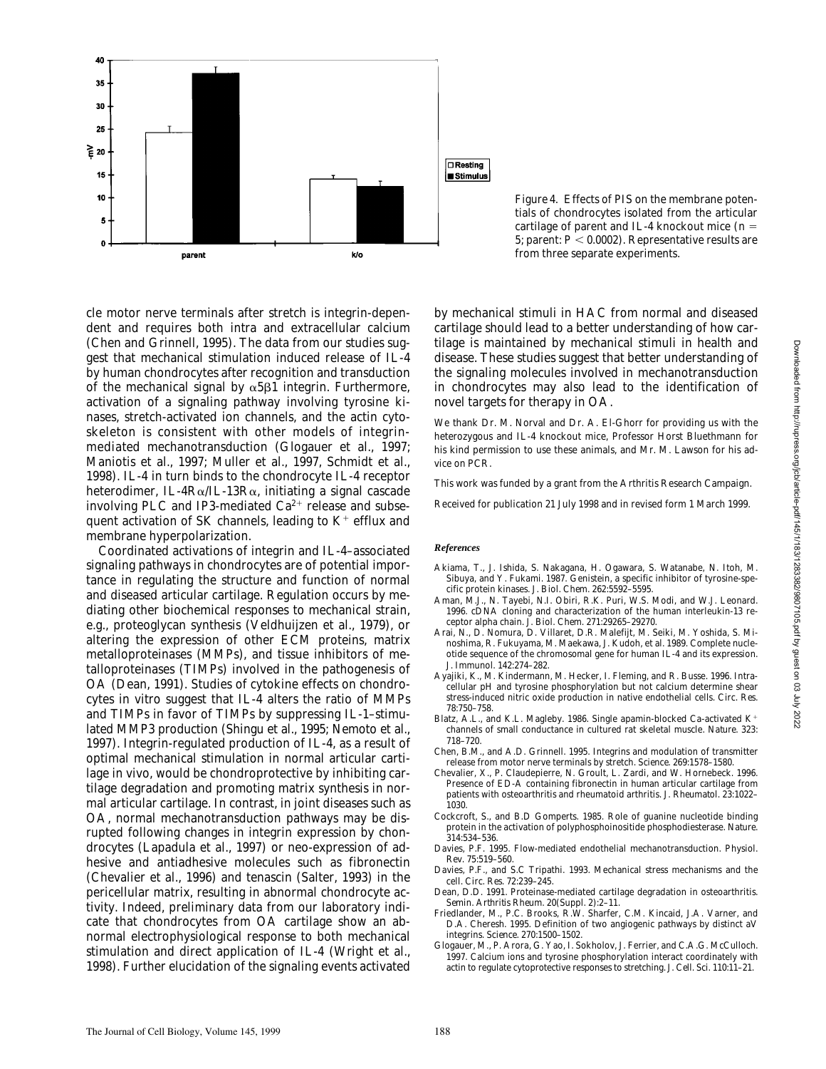

*Figure 4.* Effects of PIS on the membrane potentials of chondrocytes isolated from the articular cartilage of parent and IL-4 knockout mice  $(n =$ 5; parent:  $P\,{<}\,0.0002$  ). Representative results are from three separate experiments.

cle motor nerve terminals after stretch is integrin-dependent and requires both intra and extracellular calcium (Chen and Grinnell, 1995). The data from our studies suggest that mechanical stimulation induced release of IL-4 by human chondrocytes after recognition and transduction of the mechanical signal by  $\alpha$ 5 $\beta$ 1 integrin. Furthermore, activation of a signaling pathway involving tyrosine kinases, stretch-activated ion channels, and the actin cytoskeleton is consistent with other models of integrinmediated mechanotransduction (Glogauer et al., 1997; Maniotis et al., 1997; Muller et al., 1997, Schmidt et al., 1998). IL-4 in turn binds to the chondrocyte IL-4 receptor heterodimer, IL-4R $\alpha$ /IL-13R $\alpha$ , initiating a signal cascade involving PLC and IP3-mediated  $Ca^{2+}$  release and subsequent activation of SK channels, leading to  $K^+$  efflux and membrane hyperpolarization.

Coordinated activations of integrin and IL-4–associated signaling pathways in chondrocytes are of potential importance in regulating the structure and function of normal and diseased articular cartilage. Regulation occurs by mediating other biochemical responses to mechanical strain, e.g., proteoglycan synthesis (Veldhuijzen et al., 1979), or altering the expression of other ECM proteins, matrix metalloproteinases (MMPs), and tissue inhibitors of metalloproteinases (TIMPs) involved in the pathogenesis of OA (Dean, 1991). Studies of cytokine effects on chondrocytes in vitro suggest that IL-4 alters the ratio of MMPs and TIMPs in favor of TIMPs by suppressing IL-1–stimulated MMP3 production (Shingu et al., 1995; Nemoto et al., 1997). Integrin-regulated production of IL-4, as a result of optimal mechanical stimulation in normal articular cartilage in vivo, would be chondroprotective by inhibiting cartilage degradation and promoting matrix synthesis in normal articular cartilage. In contrast, in joint diseases such as OA, normal mechanotransduction pathways may be disrupted following changes in integrin expression by chondrocytes (Lapadula et al., 1997) or neo-expression of adhesive and antiadhesive molecules such as fibronectin (Chevalier et al., 1996) and tenascin (Salter, 1993) in the pericellular matrix, resulting in abnormal chondrocyte activity. Indeed, preliminary data from our laboratory indicate that chondrocytes from OA cartilage show an abnormal electrophysiological response to both mechanical stimulation and direct application of IL-4 (Wright et al., 1998). Further elucidation of the signaling events activated

by mechanical stimuli in HAC from normal and diseased cartilage should lead to a better understanding of how cartilage is maintained by mechanical stimuli in health and disease. These studies suggest that better understanding of the signaling molecules involved in mechanotransduction in chondrocytes may also lead to the identification of novel targets for therapy in OA.

We thank Dr. M. Norval and Dr. A. El-Ghorr for providing us with the heterozygous and IL-4 knockout mice, Professor Horst Bluethmann for his kind permission to use these animals, and Mr. M. Lawson for his advice on PCR.

This work was funded by a grant from the Arthritis Research Campaign.

Received for publication 21 July 1998 and in revised form 1 March 1999.

#### *References*

- Akiama, T., J. Ishida, S. Nakagana, H. Ogawara, S. Watanabe, N. Itoh, M. Sibuya, and Y. Fukami. 1987. Genistein, a specific inhibitor of tyrosine-specific protein kinases. *J. Biol. Chem.* 262:5592–5595.
- Aman, M.J., N. Tayebi, N.I. Obiri, R.K. Puri, W.S. Modi, and W.J. Leonard. 1996. cDNA cloning and characterization of the human interleukin-13 receptor alpha chain. *J. Biol. Chem.* 271:29265–29270.
- Arai, N., D. Nomura, D. Villaret, D.R. Malefijt, M. Seiki, M. Yoshida, S. Minoshima, R. Fukuyama, M. Maekawa, J. Kudoh, et al. 1989. Complete nucleotide sequence of the chromosomal gene for human IL-4 and its expression. *J. Immunol.* 142:274–282.
- Ayajiki, K., M. Kindermann, M. Hecker, I. Fleming, and R. Busse. 1996. Intracellular pH and tyrosine phosphorylation but not calcium determine shear stress-induced nitric oxide production in native endothelial cells. *Circ. Res.* 78:750–758.
- Blatz, A.L., and K.L. Magleby. 1986. Single apamin-blocked Ca-activated  $K^+$ channels of small conductance in cultured rat skeletal muscle. *Nature*. 323: 718–720.
- Chen, B.M., and A.D. Grinnell. 1995. Integrins and modulation of transmitter release from motor nerve terminals by stretch. *Science*. 269:1578–1580.
- Chevalier, X., P. Claudepierre, N. Groult, L. Zardi, and W. Hornebeck. 1996. Presence of ED-A containing fibronectin in human articular cartilage from patients with osteoarthritis and rheumatoid arthritis. *J. Rheumatol.* 23:1022– 1030.
- Cockcroft, S., and B.D Gomperts. 1985. Role of guanine nucleotide binding protein in the activation of polyphosphoinositide phosphodiesterase. *Nature*. 314:534–536.
- Davies, P.F. 1995. Flow-mediated endothelial mechanotransduction. *Physiol. Rev.* 75:519–560.
- Davies, P.F., and S.C Tripathi. 1993. Mechanical stress mechanisms and the cell. *Circ. Res.* 72:239–245.
- Dean, D.D. 1991. Proteinase-mediated cartilage degradation in osteoarthritis. *Semin. Arthritis Rheum.* 20(Suppl. 2):2–11.
- Friedlander, M., P.C. Brooks, R.W. Sharfer, C.M. Kincaid, J.A. Varner, and D.A. Cheresh. 1995. Definition of two angiogenic pathways by distinct aV integrins. *Science*. 270:1500–1502.
- Glogauer, M., P. Arora, G. Yao, I. Sokholov, J. Ferrier, and C.A.G. McCulloch. 1997. Calcium ions and tyrosine phosphorylation interact coordinately with actin to regulate cytoprotective responses to stretching. *J. Cell. Sci.* 110:11–21.